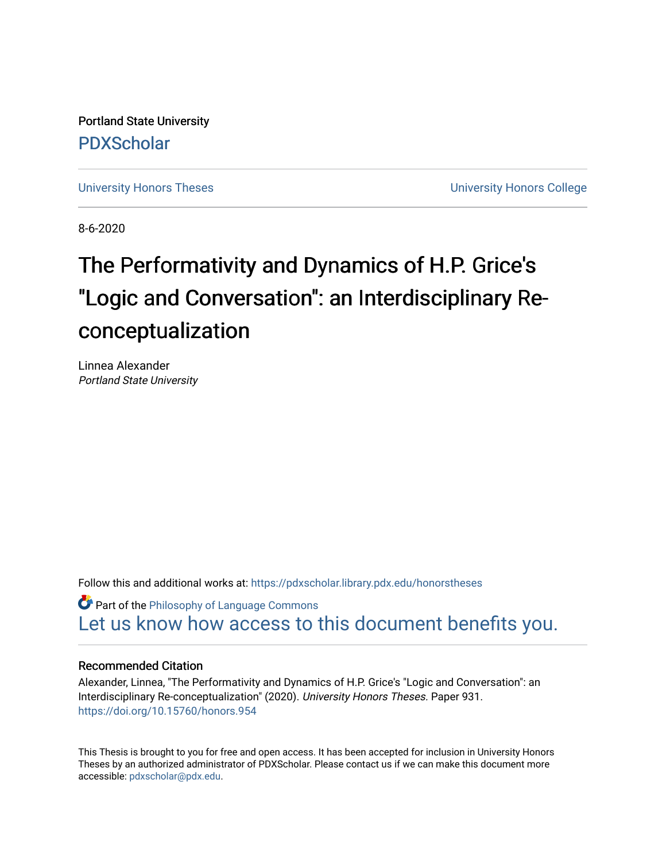Portland State University [PDXScholar](https://pdxscholar.library.pdx.edu/)

[University Honors Theses](https://pdxscholar.library.pdx.edu/honorstheses) **University Honors College** 

8-6-2020

# The Performativity and Dynamics of H.P. Grice's "Logic and Conversation": an Interdisciplinary Reconceptualization

Linnea Alexander Portland State University

Follow this and additional works at: [https://pdxscholar.library.pdx.edu/honorstheses](https://pdxscholar.library.pdx.edu/honorstheses?utm_source=pdxscholar.library.pdx.edu%2Fhonorstheses%2F931&utm_medium=PDF&utm_campaign=PDFCoverPages) 

**Part of the Philosophy of Language Commons** [Let us know how access to this document benefits you.](http://library.pdx.edu/services/pdxscholar-services/pdxscholar-feedback/) 

## Recommended Citation

Alexander, Linnea, "The Performativity and Dynamics of H.P. Grice's "Logic and Conversation": an Interdisciplinary Re-conceptualization" (2020). University Honors Theses. Paper 931. <https://doi.org/10.15760/honors.954>

This Thesis is brought to you for free and open access. It has been accepted for inclusion in University Honors Theses by an authorized administrator of PDXScholar. Please contact us if we can make this document more accessible: [pdxscholar@pdx.edu.](mailto:pdxscholar@pdx.edu)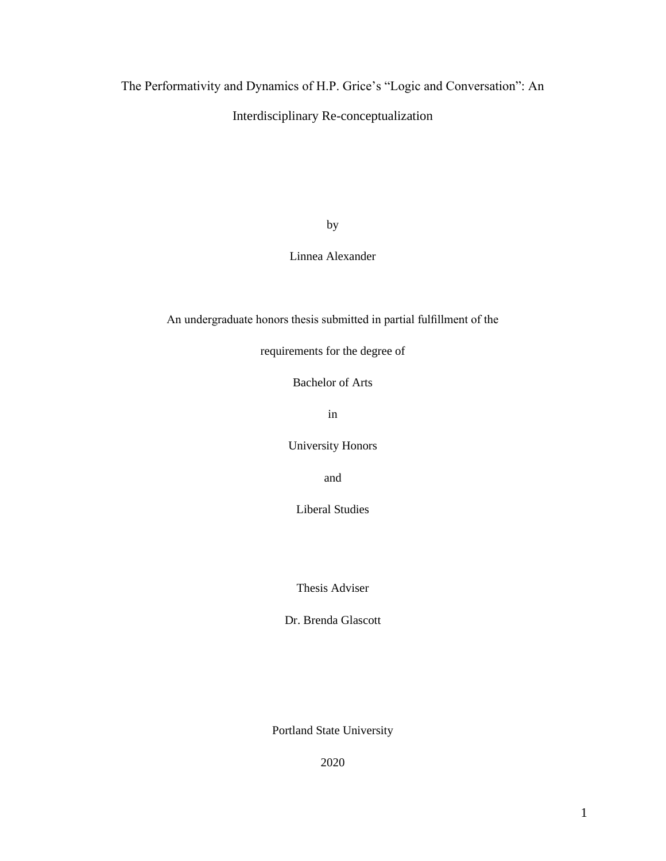# The Performativity and Dynamics of H.P. Grice's "Logic and Conversation": An

## Interdisciplinary Re-conceptualization

by

Linnea Alexander

An undergraduate honors thesis submitted in partial fulfillment of the

requirements for the degree of

Bachelor of Arts

in

University Honors

and

Liberal Studies

Thesis Adviser

Dr. Brenda Glascott

Portland State University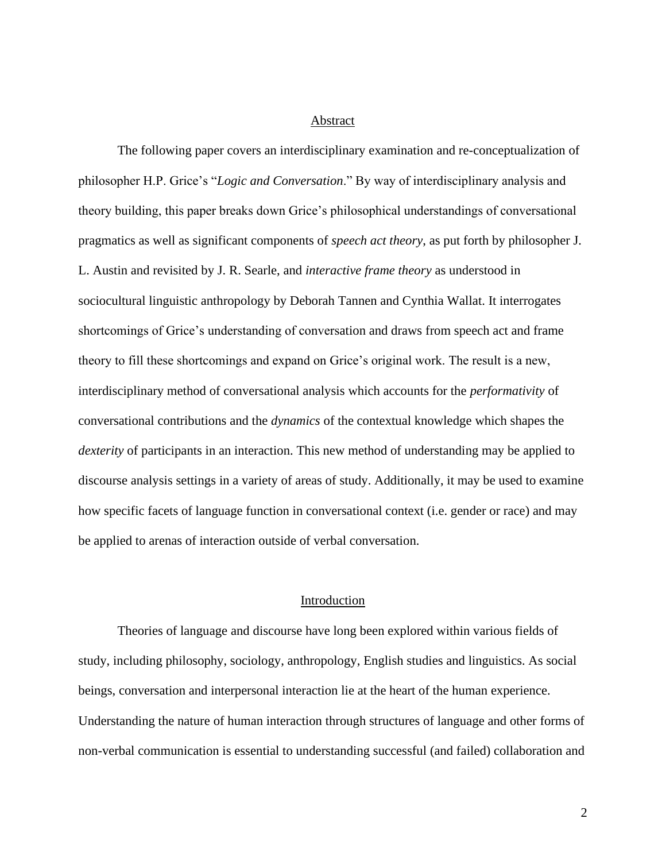### Abstract

The following paper covers an interdisciplinary examination and re-conceptualization of philosopher H.P. Grice's "*Logic and Conversation*." By way of interdisciplinary analysis and theory building, this paper breaks down Grice's philosophical understandings of conversational pragmatics as well as significant components of *speech act theory*, as put forth by philosopher J. L. Austin and revisited by J. R. Searle, and *interactive frame theory* as understood in sociocultural linguistic anthropology by Deborah Tannen and Cynthia Wallat. It interrogates shortcomings of Grice's understanding of conversation and draws from speech act and frame theory to fill these shortcomings and expand on Grice's original work. The result is a new, interdisciplinary method of conversational analysis which accounts for the *performativity* of conversational contributions and the *dynamics* of the contextual knowledge which shapes the *dexterity* of participants in an interaction. This new method of understanding may be applied to discourse analysis settings in a variety of areas of study. Additionally, it may be used to examine how specific facets of language function in conversational context (i.e. gender or race) and may be applied to arenas of interaction outside of verbal conversation.

## Introduction

Theories of language and discourse have long been explored within various fields of study, including philosophy, sociology, anthropology, English studies and linguistics. As social beings, conversation and interpersonal interaction lie at the heart of the human experience. Understanding the nature of human interaction through structures of language and other forms of non-verbal communication is essential to understanding successful (and failed) collaboration and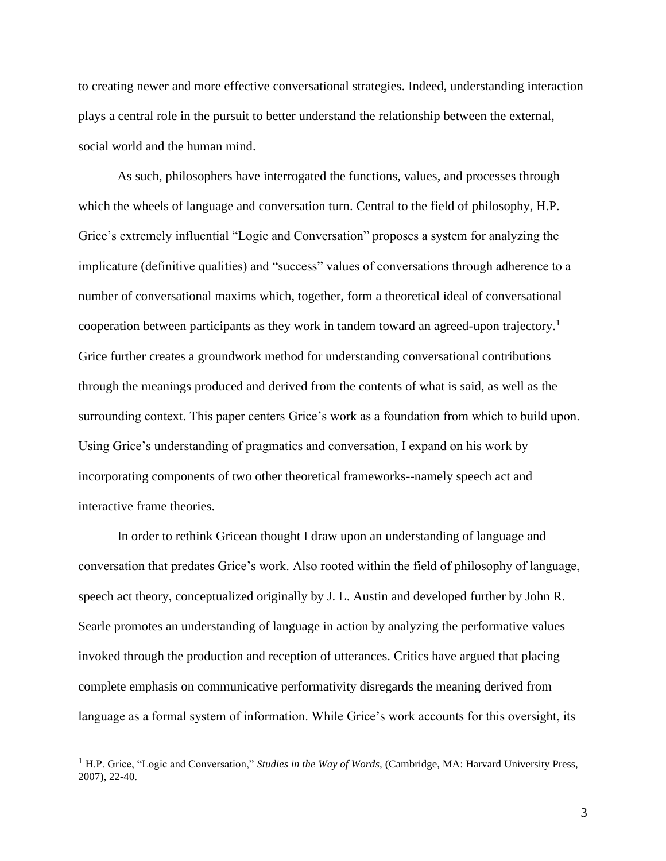to creating newer and more effective conversational strategies. Indeed, understanding interaction plays a central role in the pursuit to better understand the relationship between the external, social world and the human mind.

As such, philosophers have interrogated the functions, values, and processes through which the wheels of language and conversation turn. Central to the field of philosophy, H.P. Grice's extremely influential "Logic and Conversation" proposes a system for analyzing the implicature (definitive qualities) and "success" values of conversations through adherence to a number of conversational maxims which, together, form a theoretical ideal of conversational cooperation between participants as they work in tandem toward an agreed-upon trajectory.<sup>1</sup> Grice further creates a groundwork method for understanding conversational contributions through the meanings produced and derived from the contents of what is said, as well as the surrounding context. This paper centers Grice's work as a foundation from which to build upon. Using Grice's understanding of pragmatics and conversation, I expand on his work by incorporating components of two other theoretical frameworks--namely speech act and interactive frame theories.

In order to rethink Gricean thought I draw upon an understanding of language and conversation that predates Grice's work. Also rooted within the field of philosophy of language, speech act theory, conceptualized originally by J. L. Austin and developed further by John R. Searle promotes an understanding of language in action by analyzing the performative values invoked through the production and reception of utterances. Critics have argued that placing complete emphasis on communicative performativity disregards the meaning derived from language as a formal system of information. While Grice's work accounts for this oversight, its

<sup>1</sup> H.P. Grice, "Logic and Conversation," *Studies in the Way of Words,* (Cambridge, MA: Harvard University Press, 2007), 22-40.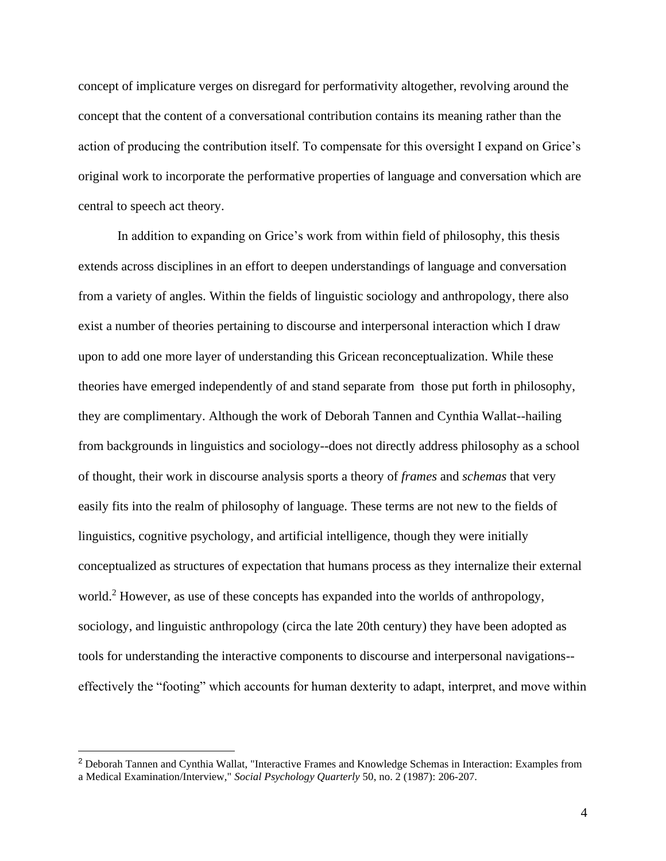concept of implicature verges on disregard for performativity altogether, revolving around the concept that the content of a conversational contribution contains its meaning rather than the action of producing the contribution itself. To compensate for this oversight I expand on Grice's original work to incorporate the performative properties of language and conversation which are central to speech act theory.

In addition to expanding on Grice's work from within field of philosophy, this thesis extends across disciplines in an effort to deepen understandings of language and conversation from a variety of angles. Within the fields of linguistic sociology and anthropology, there also exist a number of theories pertaining to discourse and interpersonal interaction which I draw upon to add one more layer of understanding this Gricean reconceptualization. While these theories have emerged independently of and stand separate from those put forth in philosophy, they are complimentary. Although the work of Deborah Tannen and Cynthia Wallat--hailing from backgrounds in linguistics and sociology--does not directly address philosophy as a school of thought, their work in discourse analysis sports a theory of *frames* and *schemas* that very easily fits into the realm of philosophy of language. These terms are not new to the fields of linguistics, cognitive psychology, and artificial intelligence, though they were initially conceptualized as structures of expectation that humans process as they internalize their external world.<sup>2</sup> However, as use of these concepts has expanded into the worlds of anthropology, sociology, and linguistic anthropology (circa the late 20th century) they have been adopted as tools for understanding the interactive components to discourse and interpersonal navigations- effectively the "footing" which accounts for human dexterity to adapt, interpret, and move within

<sup>2</sup> Deborah Tannen and Cynthia Wallat, "Interactive Frames and Knowledge Schemas in Interaction: Examples from a Medical Examination/Interview," *Social Psychology Quarterly* 50, no. 2 (1987): 206-207.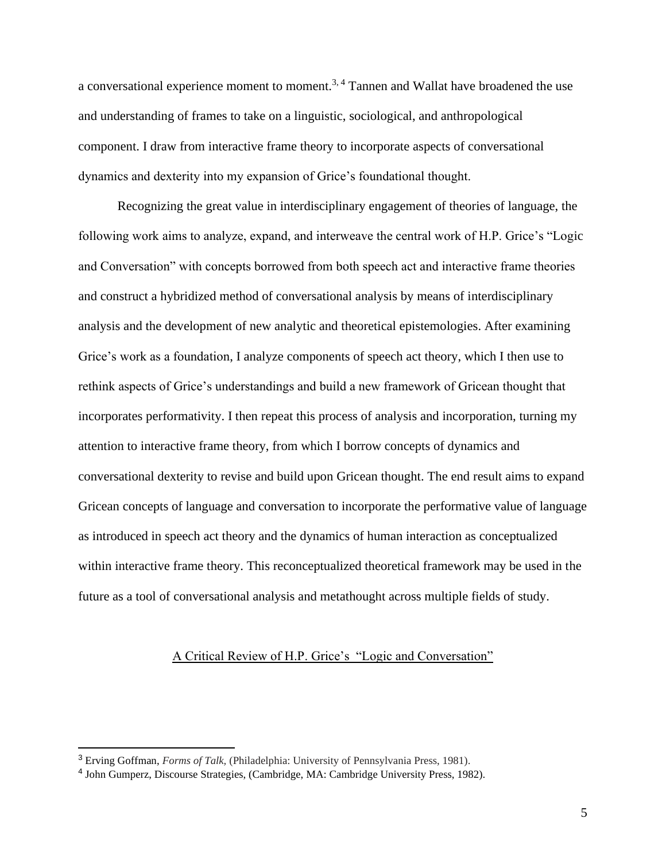a conversational experience moment to moment.3, 4 Tannen and Wallat have broadened the use and understanding of frames to take on a linguistic, sociological, and anthropological component. I draw from interactive frame theory to incorporate aspects of conversational dynamics and dexterity into my expansion of Grice's foundational thought.

Recognizing the great value in interdisciplinary engagement of theories of language, the following work aims to analyze, expand, and interweave the central work of H.P. Grice's "Logic and Conversation" with concepts borrowed from both speech act and interactive frame theories and construct a hybridized method of conversational analysis by means of interdisciplinary analysis and the development of new analytic and theoretical epistemologies. After examining Grice's work as a foundation, I analyze components of speech act theory, which I then use to rethink aspects of Grice's understandings and build a new framework of Gricean thought that incorporates performativity. I then repeat this process of analysis and incorporation, turning my attention to interactive frame theory, from which I borrow concepts of dynamics and conversational dexterity to revise and build upon Gricean thought. The end result aims to expand Gricean concepts of language and conversation to incorporate the performative value of language as introduced in speech act theory and the dynamics of human interaction as conceptualized within interactive frame theory. This reconceptualized theoretical framework may be used in the future as a tool of conversational analysis and metathought across multiple fields of study.

## A Critical Review of H.P. Grice's "Logic and Conversation"

<sup>3</sup> Erving Goffman, *Forms of Talk,* (Philadelphia: University of Pennsylvania Press, 1981).

<sup>4</sup> John Gumperz, Discourse Strategies, (Cambridge, MA: Cambridge University Press, 1982).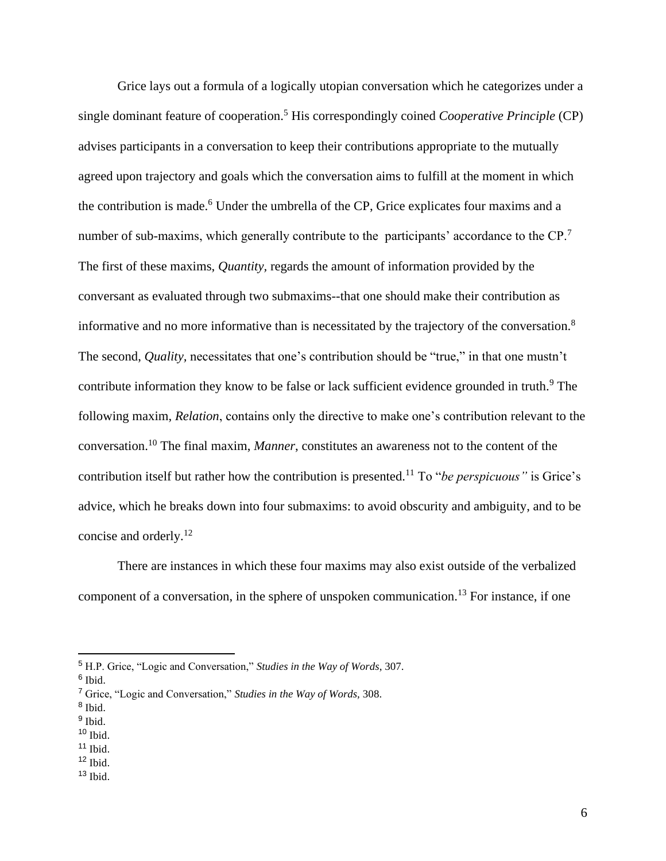Grice lays out a formula of a logically utopian conversation which he categorizes under a single dominant feature of cooperation.<sup>5</sup> His correspondingly coined *Cooperative Principle* (CP) advises participants in a conversation to keep their contributions appropriate to the mutually agreed upon trajectory and goals which the conversation aims to fulfill at the moment in which the contribution is made.<sup>6</sup> Under the umbrella of the CP, Grice explicates four maxims and a number of sub-maxims, which generally contribute to the participants' accordance to the CP.<sup>7</sup> The first of these maxims, *Quantity,* regards the amount of information provided by the conversant as evaluated through two submaxims--that one should make their contribution as informative and no more informative than is necessitated by the trajectory of the conversation.<sup>8</sup> The second, *Quality,* necessitates that one's contribution should be "true," in that one mustn't contribute information they know to be false or lack sufficient evidence grounded in truth.<sup>9</sup> The following maxim, *Relation*, contains only the directive to make one's contribution relevant to the conversation.<sup>10</sup> The final maxim, *Manner*, constitutes an awareness not to the content of the contribution itself but rather how the contribution is presented.<sup>11</sup> To "*be perspicuous"* is Grice's advice, which he breaks down into four submaxims: to avoid obscurity and ambiguity, and to be concise and orderly.<sup>12</sup>

There are instances in which these four maxims may also exist outside of the verbalized component of a conversation, in the sphere of unspoken communication.<sup>13</sup> For instance, if one

 $10$  Ibid.

 $12$  Ibid.

<sup>5</sup> H.P. Grice, "Logic and Conversation," *Studies in the Way of Words*, 307.

<sup>&</sup>lt;sup>6</sup> Ibid.

<sup>7</sup> Grice, "Logic and Conversation," *Studies in the Way of Words,* 308.

<sup>8</sup> Ibid.

<sup>&</sup>lt;sup>9</sup> Ibid.

 $11$  Ibid.

<sup>13</sup> Ibid.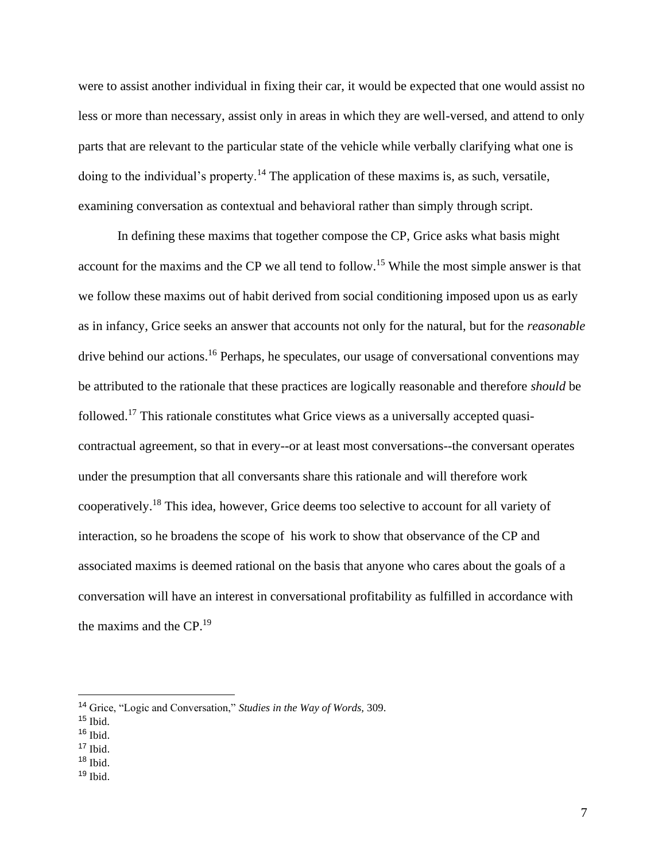were to assist another individual in fixing their car, it would be expected that one would assist no less or more than necessary, assist only in areas in which they are well-versed, and attend to only parts that are relevant to the particular state of the vehicle while verbally clarifying what one is doing to the individual's property.<sup>14</sup> The application of these maxims is, as such, versatile, examining conversation as contextual and behavioral rather than simply through script.

In defining these maxims that together compose the CP, Grice asks what basis might account for the maxims and the CP we all tend to follow.<sup>15</sup> While the most simple answer is that we follow these maxims out of habit derived from social conditioning imposed upon us as early as in infancy, Grice seeks an answer that accounts not only for the natural, but for the *reasonable* drive behind our actions.<sup>16</sup> Perhaps, he speculates, our usage of conversational conventions may be attributed to the rationale that these practices are logically reasonable and therefore *should* be followed.<sup>17</sup> This rationale constitutes what Grice views as a universally accepted quasicontractual agreement, so that in every--or at least most conversations--the conversant operates under the presumption that all conversants share this rationale and will therefore work cooperatively.<sup>18</sup> This idea, however, Grice deems too selective to account for all variety of interaction, so he broadens the scope of his work to show that observance of the CP and associated maxims is deemed rational on the basis that anyone who cares about the goals of a conversation will have an interest in conversational profitability as fulfilled in accordance with the maxims and the CP.<sup>19</sup>

<sup>14</sup> Grice, "Logic and Conversation," *Studies in the Way of Words,* 309.

 $15$  Ibid.

 $16$  Ibid.

<sup>17</sup> Ibid.

<sup>18</sup> Ibid.

<sup>19</sup> Ibid.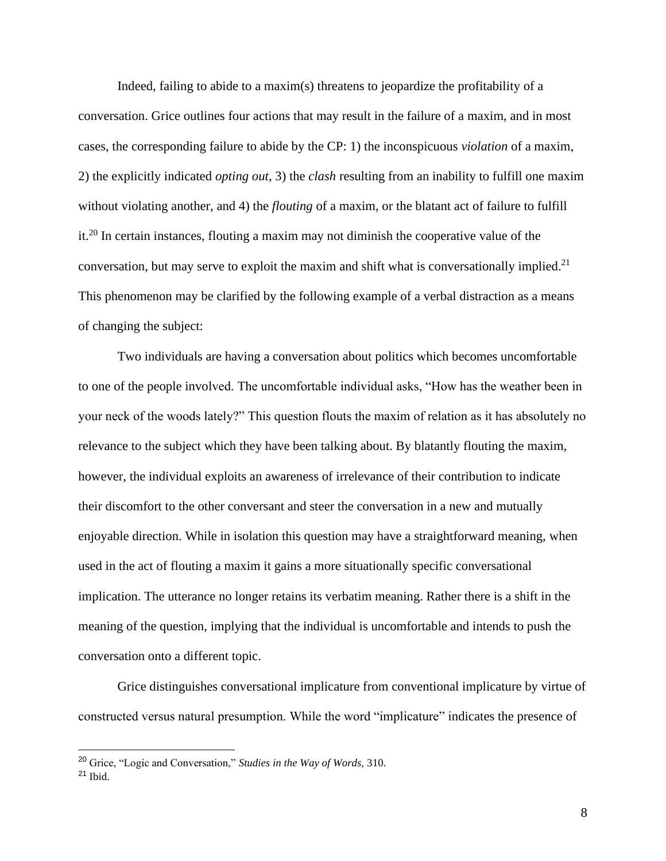Indeed, failing to abide to a maxim(s) threatens to jeopardize the profitability of a conversation. Grice outlines four actions that may result in the failure of a maxim, and in most cases, the corresponding failure to abide by the CP: 1) the inconspicuous *violation* of a maxim, 2) the explicitly indicated *opting out*, 3) the *clash* resulting from an inability to fulfill one maxim without violating another, and 4) the *flouting* of a maxim, or the blatant act of failure to fulfill it.<sup>20</sup> In certain instances, flouting a maxim may not diminish the cooperative value of the conversation, but may serve to exploit the maxim and shift what is conversationally implied.<sup>21</sup> This phenomenon may be clarified by the following example of a verbal distraction as a means of changing the subject:

Two individuals are having a conversation about politics which becomes uncomfortable to one of the people involved. The uncomfortable individual asks, "How has the weather been in your neck of the woods lately?" This question flouts the maxim of relation as it has absolutely no relevance to the subject which they have been talking about. By blatantly flouting the maxim, however, the individual exploits an awareness of irrelevance of their contribution to indicate their discomfort to the other conversant and steer the conversation in a new and mutually enjoyable direction. While in isolation this question may have a straightforward meaning, when used in the act of flouting a maxim it gains a more situationally specific conversational implication. The utterance no longer retains its verbatim meaning. Rather there is a shift in the meaning of the question, implying that the individual is uncomfortable and intends to push the conversation onto a different topic.

Grice distinguishes conversational implicature from conventional implicature by virtue of constructed versus natural presumption. While the word "implicature" indicates the presence of

<sup>20</sup> Grice, "Logic and Conversation," *Studies in the Way of Words,* 310.

<sup>21</sup> Ibid.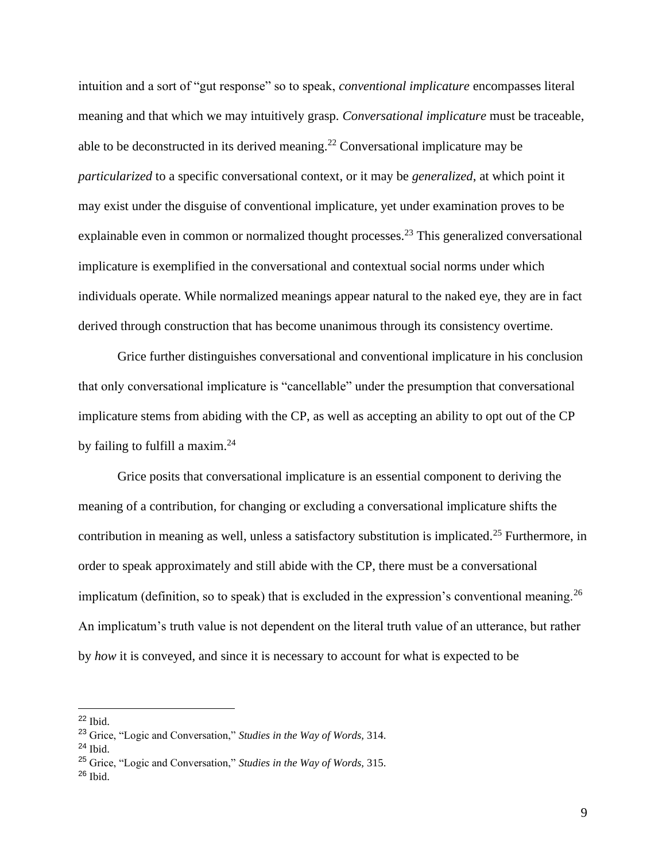intuition and a sort of "gut response" so to speak, *conventional implicature* encompasses literal meaning and that which we may intuitively grasp. *Conversational implicature* must be traceable, able to be deconstructed in its derived meaning.<sup>22</sup> Conversational implicature may be *particularized* to a specific conversational context, or it may be *generalized*, at which point it may exist under the disguise of conventional implicature, yet under examination proves to be explainable even in common or normalized thought processes.<sup>23</sup> This generalized conversational implicature is exemplified in the conversational and contextual social norms under which individuals operate. While normalized meanings appear natural to the naked eye, they are in fact derived through construction that has become unanimous through its consistency overtime.

Grice further distinguishes conversational and conventional implicature in his conclusion that only conversational implicature is "cancellable" under the presumption that conversational implicature stems from abiding with the CP, as well as accepting an ability to opt out of the CP by failing to fulfill a maxim.<sup>24</sup>

Grice posits that conversational implicature is an essential component to deriving the meaning of a contribution, for changing or excluding a conversational implicature shifts the contribution in meaning as well, unless a satisfactory substitution is implicated.<sup>25</sup> Furthermore, in order to speak approximately and still abide with the CP, there must be a conversational implicatum (definition, so to speak) that is excluded in the expression's conventional meaning.  $^{26}$ An implicatum's truth value is not dependent on the literal truth value of an utterance, but rather by *how* it is conveyed, and since it is necessary to account for what is expected to be

<sup>22</sup> Ibid.

<sup>23</sup> Grice, "Logic and Conversation," *Studies in the Way of Words,* 314.

 $24$  Ibid.

<sup>25</sup> Grice, "Logic and Conversation," *Studies in the Way of Words,* 315.

<sup>26</sup> Ibid.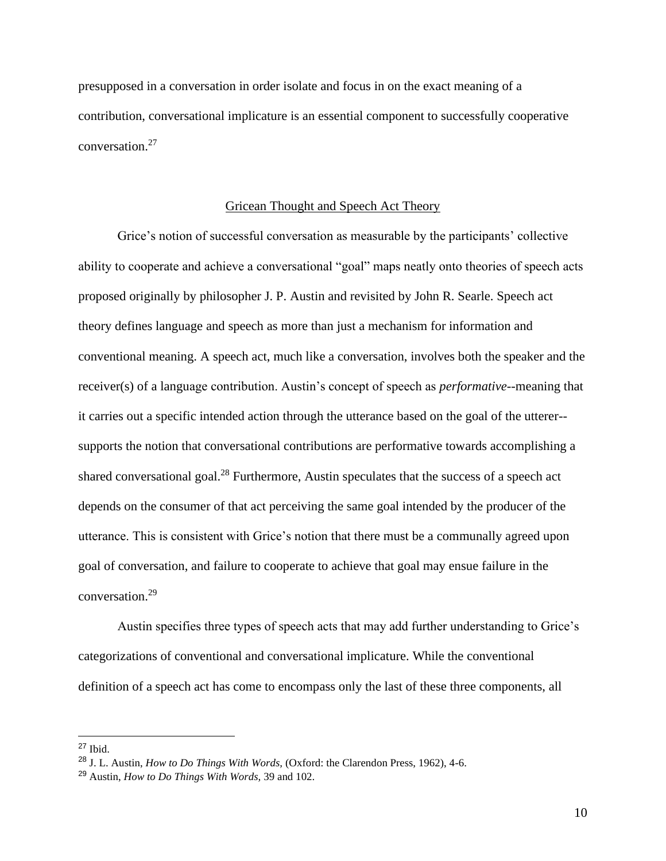presupposed in a conversation in order isolate and focus in on the exact meaning of a contribution, conversational implicature is an essential component to successfully cooperative conversation.<sup>27</sup>

## Gricean Thought and Speech Act Theory

Grice's notion of successful conversation as measurable by the participants' collective ability to cooperate and achieve a conversational "goal" maps neatly onto theories of speech acts proposed originally by philosopher J. P. Austin and revisited by John R. Searle. Speech act theory defines language and speech as more than just a mechanism for information and conventional meaning. A speech act, much like a conversation, involves both the speaker and the receiver(s) of a language contribution. Austin's concept of speech as *performative*--meaning that it carries out a specific intended action through the utterance based on the goal of the utterer- supports the notion that conversational contributions are performative towards accomplishing a shared conversational goal.<sup>28</sup> Furthermore, Austin speculates that the success of a speech act depends on the consumer of that act perceiving the same goal intended by the producer of the utterance. This is consistent with Grice's notion that there must be a communally agreed upon goal of conversation, and failure to cooperate to achieve that goal may ensue failure in the conversation.<sup>29</sup>

Austin specifies three types of speech acts that may add further understanding to Grice's categorizations of conventional and conversational implicature. While the conventional definition of a speech act has come to encompass only the last of these three components, all

<sup>27</sup> Ibid.

<sup>28</sup> J. L. Austin, *How to Do Things With Words,* (Oxford: the Clarendon Press, 1962), 4-6.

<sup>29</sup> Austin, *How to Do Things With Words,* 39 and 102.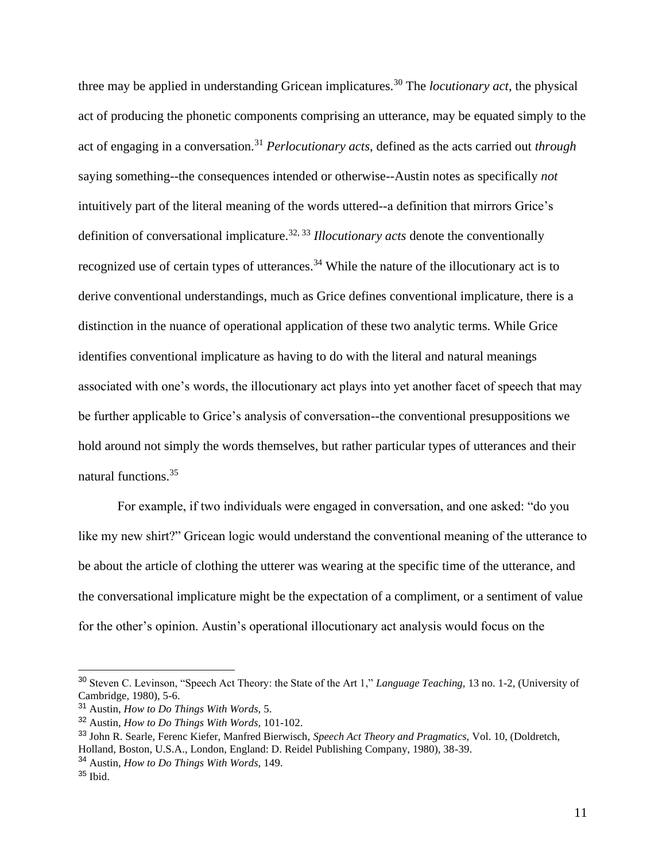three may be applied in understanding Gricean implicatures.<sup>30</sup> The *locutionary act*, the physical act of producing the phonetic components comprising an utterance, may be equated simply to the act of engaging in a conversation.<sup>31</sup> *Perlocutionary acts*, defined as the acts carried out *through* saying something--the consequences intended or otherwise--Austin notes as specifically *not* intuitively part of the literal meaning of the words uttered--a definition that mirrors Grice's definition of conversational implicature.<sup>32, 33</sup> *Illocutionary acts* denote the conventionally recognized use of certain types of utterances.<sup>34</sup> While the nature of the illocutionary act is to derive conventional understandings, much as Grice defines conventional implicature, there is a distinction in the nuance of operational application of these two analytic terms. While Grice identifies conventional implicature as having to do with the literal and natural meanings associated with one's words, the illocutionary act plays into yet another facet of speech that may be further applicable to Grice's analysis of conversation--the conventional presuppositions we hold around not simply the words themselves, but rather particular types of utterances and their natural functions.<sup>35</sup>

For example, if two individuals were engaged in conversation, and one asked: "do you like my new shirt?" Gricean logic would understand the conventional meaning of the utterance to be about the article of clothing the utterer was wearing at the specific time of the utterance, and the conversational implicature might be the expectation of a compliment, or a sentiment of value for the other's opinion. Austin's operational illocutionary act analysis would focus on the

<sup>30</sup> Steven C. Levinson, "Speech Act Theory: the State of the Art 1," *Language Teaching,* 13 no. 1-2, (University of Cambridge, 1980), 5-6.

<sup>31</sup> Austin, *How to Do Things With Words,* 5.

<sup>32</sup> Austin, *How to Do Things With Words,* 101-102.

<sup>33</sup> John R. Searle, Ferenc Kiefer, Manfred Bierwisch, *Speech Act Theory and Pragmatics,* Vol. 10, (Doldretch, Holland, Boston, U.S.A., London, England: D. Reidel Publishing Company, 1980), 38-39.

<sup>34</sup> Austin, *How to Do Things With Words,* 149.

<sup>35</sup> Ibid.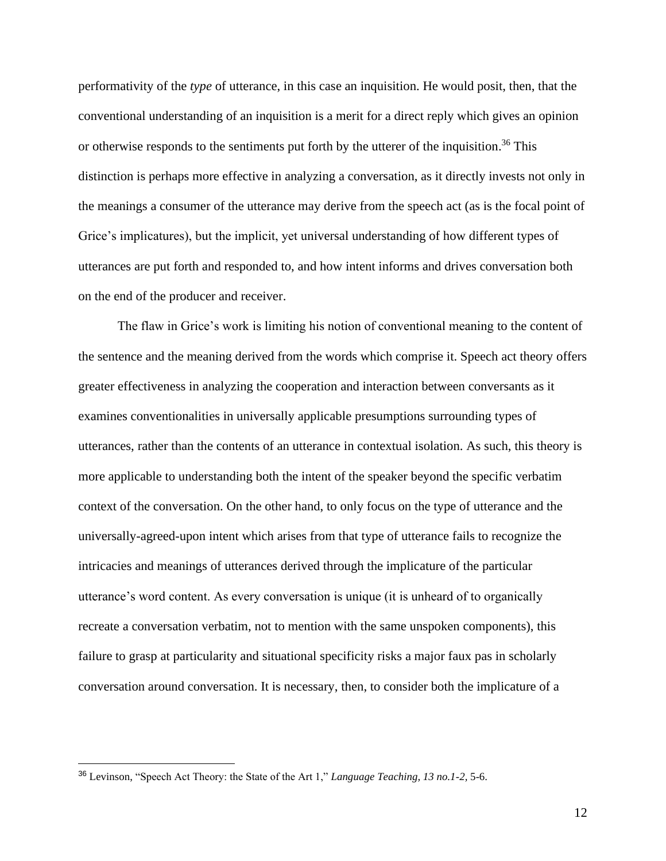performativity of the *type* of utterance, in this case an inquisition. He would posit, then, that the conventional understanding of an inquisition is a merit for a direct reply which gives an opinion or otherwise responds to the sentiments put forth by the utterer of the inquisition.<sup>36</sup> This distinction is perhaps more effective in analyzing a conversation, as it directly invests not only in the meanings a consumer of the utterance may derive from the speech act (as is the focal point of Grice's implicatures), but the implicit, yet universal understanding of how different types of utterances are put forth and responded to, and how intent informs and drives conversation both on the end of the producer and receiver.

The flaw in Grice's work is limiting his notion of conventional meaning to the content of the sentence and the meaning derived from the words which comprise it. Speech act theory offers greater effectiveness in analyzing the cooperation and interaction between conversants as it examines conventionalities in universally applicable presumptions surrounding types of utterances, rather than the contents of an utterance in contextual isolation. As such, this theory is more applicable to understanding both the intent of the speaker beyond the specific verbatim context of the conversation. On the other hand, to only focus on the type of utterance and the universally-agreed-upon intent which arises from that type of utterance fails to recognize the intricacies and meanings of utterances derived through the implicature of the particular utterance's word content. As every conversation is unique (it is unheard of to organically recreate a conversation verbatim, not to mention with the same unspoken components), this failure to grasp at particularity and situational specificity risks a major faux pas in scholarly conversation around conversation. It is necessary, then, to consider both the implicature of a

<sup>36</sup> Levinson, "Speech Act Theory: the State of the Art 1," *Language Teaching, 13 no.1-2,* 5-6.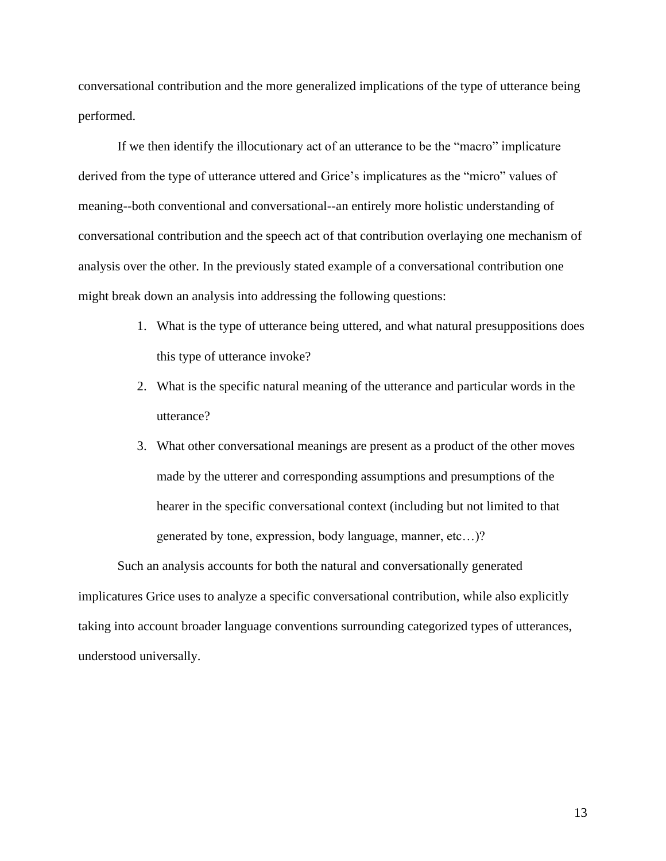conversational contribution and the more generalized implications of the type of utterance being performed.

If we then identify the illocutionary act of an utterance to be the "macro" implicature derived from the type of utterance uttered and Grice's implicatures as the "micro" values of meaning--both conventional and conversational--an entirely more holistic understanding of conversational contribution and the speech act of that contribution overlaying one mechanism of analysis over the other. In the previously stated example of a conversational contribution one might break down an analysis into addressing the following questions:

- 1. What is the type of utterance being uttered, and what natural presuppositions does this type of utterance invoke?
- 2. What is the specific natural meaning of the utterance and particular words in the utterance?
- 3. What other conversational meanings are present as a product of the other moves made by the utterer and corresponding assumptions and presumptions of the hearer in the specific conversational context (including but not limited to that generated by tone, expression, body language, manner, etc…)?

Such an analysis accounts for both the natural and conversationally generated implicatures Grice uses to analyze a specific conversational contribution, while also explicitly taking into account broader language conventions surrounding categorized types of utterances, understood universally.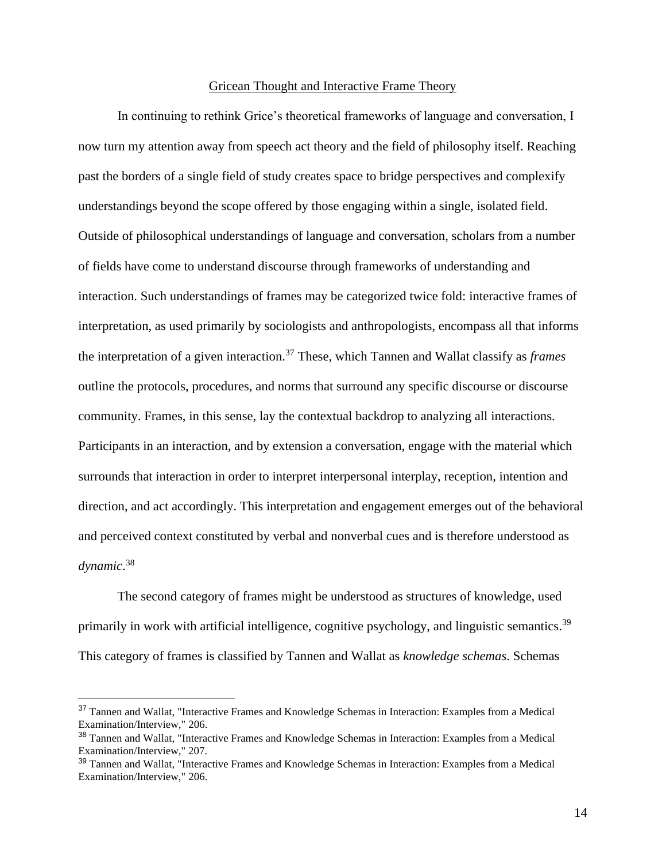## Gricean Thought and Interactive Frame Theory

In continuing to rethink Grice's theoretical frameworks of language and conversation, I now turn my attention away from speech act theory and the field of philosophy itself. Reaching past the borders of a single field of study creates space to bridge perspectives and complexify understandings beyond the scope offered by those engaging within a single, isolated field. Outside of philosophical understandings of language and conversation, scholars from a number of fields have come to understand discourse through frameworks of understanding and interaction. Such understandings of frames may be categorized twice fold: interactive frames of interpretation, as used primarily by sociologists and anthropologists, encompass all that informs the interpretation of a given interaction.<sup>37</sup> These, which Tannen and Wallat classify as *frames* outline the protocols, procedures, and norms that surround any specific discourse or discourse community. Frames, in this sense, lay the contextual backdrop to analyzing all interactions. Participants in an interaction, and by extension a conversation, engage with the material which surrounds that interaction in order to interpret interpersonal interplay, reception, intention and direction, and act accordingly. This interpretation and engagement emerges out of the behavioral and perceived context constituted by verbal and nonverbal cues and is therefore understood as *dynamic*. 38

The second category of frames might be understood as structures of knowledge, used primarily in work with artificial intelligence, cognitive psychology, and linguistic semantics.<sup>39</sup> This category of frames is classified by Tannen and Wallat as *knowledge schemas*. Schemas

<sup>&</sup>lt;sup>37</sup> Tannen and Wallat, "Interactive Frames and Knowledge Schemas in Interaction: Examples from a Medical Examination/Interview," 206.

<sup>38</sup> Tannen and Wallat, "Interactive Frames and Knowledge Schemas in Interaction: Examples from a Medical Examination/Interview," 207.

<sup>39</sup> Tannen and Wallat, "Interactive Frames and Knowledge Schemas in Interaction: Examples from a Medical Examination/Interview," 206.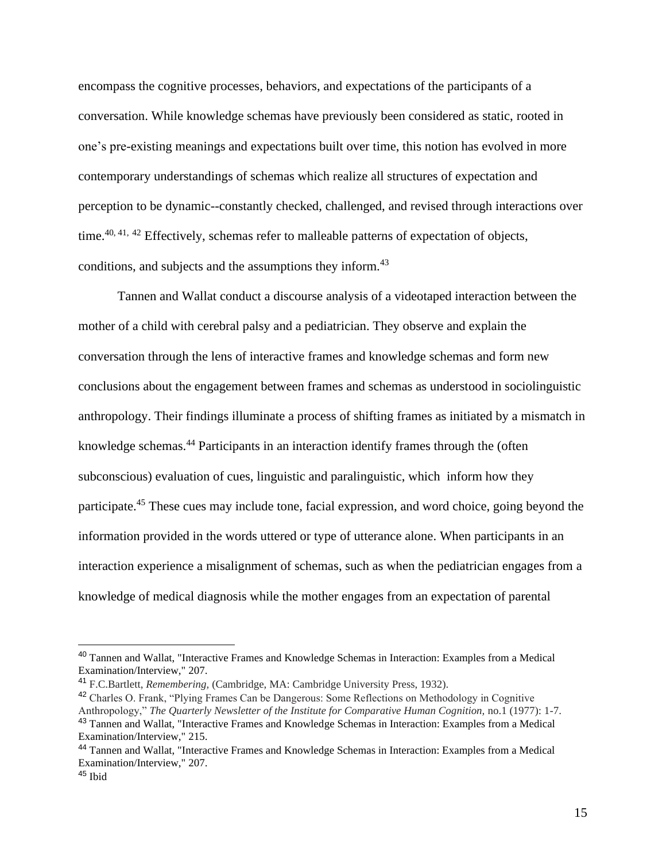encompass the cognitive processes, behaviors, and expectations of the participants of a conversation. While knowledge schemas have previously been considered as static, rooted in one's pre-existing meanings and expectations built over time, this notion has evolved in more contemporary understandings of schemas which realize all structures of expectation and perception to be dynamic--constantly checked, challenged, and revised through interactions over time.<sup>40, 41, 42</sup> Effectively, schemas refer to malleable patterns of expectation of objects, conditions, and subjects and the assumptions they inform.<sup>43</sup>

Tannen and Wallat conduct a discourse analysis of a videotaped interaction between the mother of a child with cerebral palsy and a pediatrician. They observe and explain the conversation through the lens of interactive frames and knowledge schemas and form new conclusions about the engagement between frames and schemas as understood in sociolinguistic anthropology. Their findings illuminate a process of shifting frames as initiated by a mismatch in knowledge schemas.<sup>44</sup> Participants in an interaction identify frames through the (often subconscious) evaluation of cues, linguistic and paralinguistic, which inform how they participate.<sup>45</sup> These cues may include tone, facial expression, and word choice, going beyond the information provided in the words uttered or type of utterance alone. When participants in an interaction experience a misalignment of schemas, such as when the pediatrician engages from a knowledge of medical diagnosis while the mother engages from an expectation of parental

<sup>&</sup>lt;sup>40</sup> Tannen and Wallat, "Interactive Frames and Knowledge Schemas in Interaction: Examples from a Medical Examination/Interview," 207.

<sup>41</sup> F.C.Bartlett, *Remembering,* (Cambridge, MA: Cambridge University Press, 1932).

<sup>42</sup> Charles O. Frank, "Plying Frames Can be Dangerous: Some Reflections on Methodology in Cognitive Anthropology," *The Quarterly Newsletter of the Institute for Comparative Human Cognition, no.1 (1977): 1-7.* 

<sup>43</sup> Tannen and Wallat, "Interactive Frames and Knowledge Schemas in Interaction: Examples from a Medical Examination/Interview," 215.

<sup>44</sup> Tannen and Wallat, "Interactive Frames and Knowledge Schemas in Interaction: Examples from a Medical Examination/Interview," 207.

<sup>45</sup> Ibid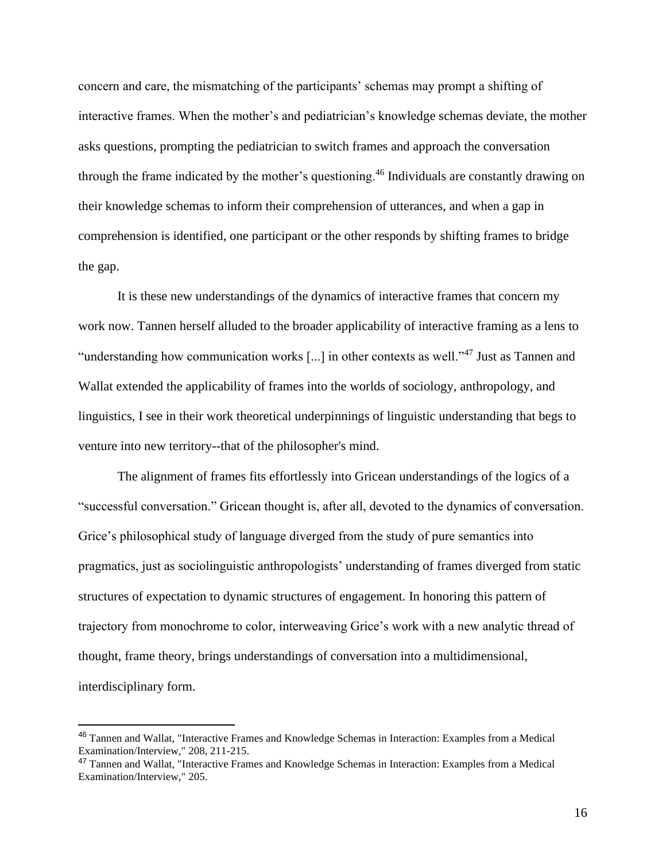concern and care, the mismatching of the participants' schemas may prompt a shifting of interactive frames. When the mother's and pediatrician's knowledge schemas deviate, the mother asks questions, prompting the pediatrician to switch frames and approach the conversation through the frame indicated by the mother's questioning.<sup>46</sup> Individuals are constantly drawing on their knowledge schemas to inform their comprehension of utterances, and when a gap in comprehension is identified, one participant or the other responds by shifting frames to bridge the gap.

It is these new understandings of the dynamics of interactive frames that concern my work now. Tannen herself alluded to the broader applicability of interactive framing as a lens to "understanding how communication works [...] in other contexts as well."<sup>47</sup> Just as Tannen and Wallat extended the applicability of frames into the worlds of sociology, anthropology, and linguistics, I see in their work theoretical underpinnings of linguistic understanding that begs to venture into new territory--that of the philosopher's mind.

The alignment of frames fits effortlessly into Gricean understandings of the logics of a "successful conversation." Gricean thought is, after all, devoted to the dynamics of conversation. Grice's philosophical study of language diverged from the study of pure semantics into pragmatics, just as sociolinguistic anthropologists' understanding of frames diverged from static structures of expectation to dynamic structures of engagement. In honoring this pattern of trajectory from monochrome to color, interweaving Grice's work with a new analytic thread of thought, frame theory, brings understandings of conversation into a multidimensional, interdisciplinary form.

<sup>46</sup> Tannen and Wallat, "Interactive Frames and Knowledge Schemas in Interaction: Examples from a Medical Examination/Interview," 208, 211-215.

<sup>47</sup> Tannen and Wallat, "Interactive Frames and Knowledge Schemas in Interaction: Examples from a Medical Examination/Interview," 205.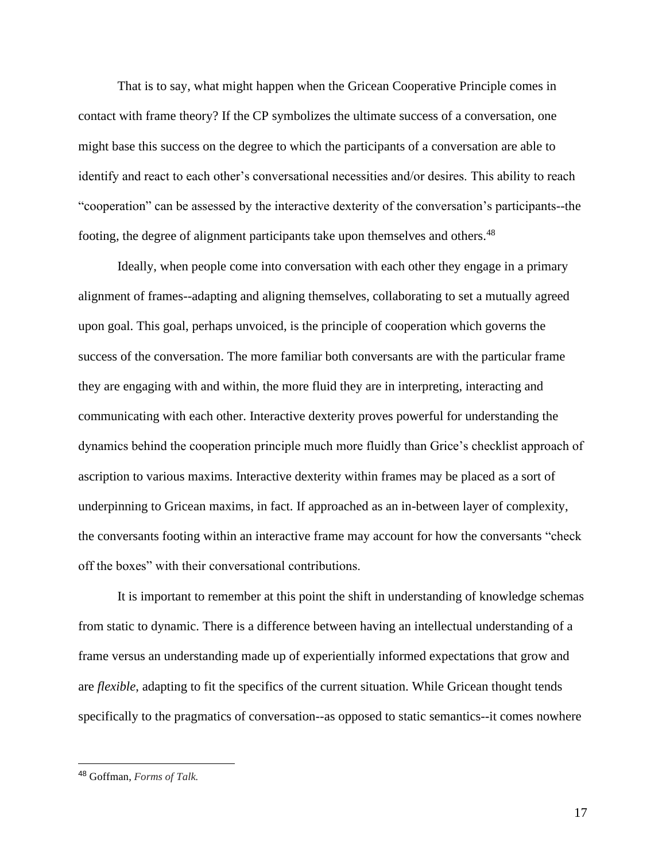That is to say, what might happen when the Gricean Cooperative Principle comes in contact with frame theory? If the CP symbolizes the ultimate success of a conversation, one might base this success on the degree to which the participants of a conversation are able to identify and react to each other's conversational necessities and/or desires. This ability to reach "cooperation" can be assessed by the interactive dexterity of the conversation's participants--the footing, the degree of alignment participants take upon themselves and others.<sup>48</sup>

Ideally, when people come into conversation with each other they engage in a primary alignment of frames--adapting and aligning themselves, collaborating to set a mutually agreed upon goal. This goal, perhaps unvoiced, is the principle of cooperation which governs the success of the conversation. The more familiar both conversants are with the particular frame they are engaging with and within, the more fluid they are in interpreting, interacting and communicating with each other. Interactive dexterity proves powerful for understanding the dynamics behind the cooperation principle much more fluidly than Grice's checklist approach of ascription to various maxims. Interactive dexterity within frames may be placed as a sort of underpinning to Gricean maxims, in fact. If approached as an in-between layer of complexity, the conversants footing within an interactive frame may account for how the conversants "check off the boxes" with their conversational contributions.

It is important to remember at this point the shift in understanding of knowledge schemas from static to dynamic. There is a difference between having an intellectual understanding of a frame versus an understanding made up of experientially informed expectations that grow and are *flexible*, adapting to fit the specifics of the current situation. While Gricean thought tends specifically to the pragmatics of conversation--as opposed to static semantics--it comes nowhere

<sup>48</sup> Goffman, *Forms of Talk.*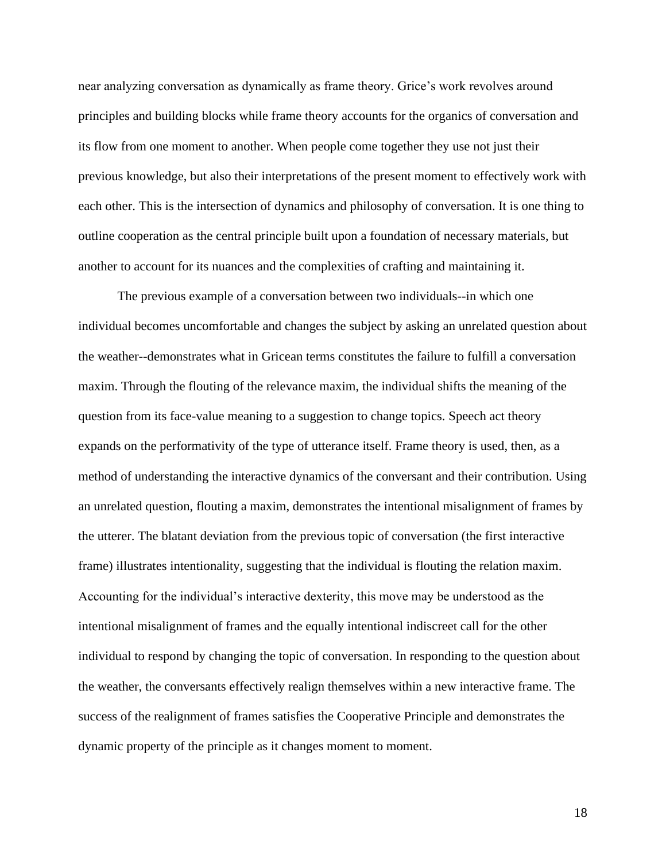near analyzing conversation as dynamically as frame theory. Grice's work revolves around principles and building blocks while frame theory accounts for the organics of conversation and its flow from one moment to another. When people come together they use not just their previous knowledge, but also their interpretations of the present moment to effectively work with each other. This is the intersection of dynamics and philosophy of conversation. It is one thing to outline cooperation as the central principle built upon a foundation of necessary materials, but another to account for its nuances and the complexities of crafting and maintaining it.

The previous example of a conversation between two individuals--in which one individual becomes uncomfortable and changes the subject by asking an unrelated question about the weather--demonstrates what in Gricean terms constitutes the failure to fulfill a conversation maxim. Through the flouting of the relevance maxim, the individual shifts the meaning of the question from its face-value meaning to a suggestion to change topics. Speech act theory expands on the performativity of the type of utterance itself. Frame theory is used, then, as a method of understanding the interactive dynamics of the conversant and their contribution. Using an unrelated question, flouting a maxim, demonstrates the intentional misalignment of frames by the utterer. The blatant deviation from the previous topic of conversation (the first interactive frame) illustrates intentionality, suggesting that the individual is flouting the relation maxim. Accounting for the individual's interactive dexterity, this move may be understood as the intentional misalignment of frames and the equally intentional indiscreet call for the other individual to respond by changing the topic of conversation. In responding to the question about the weather, the conversants effectively realign themselves within a new interactive frame. The success of the realignment of frames satisfies the Cooperative Principle and demonstrates the dynamic property of the principle as it changes moment to moment.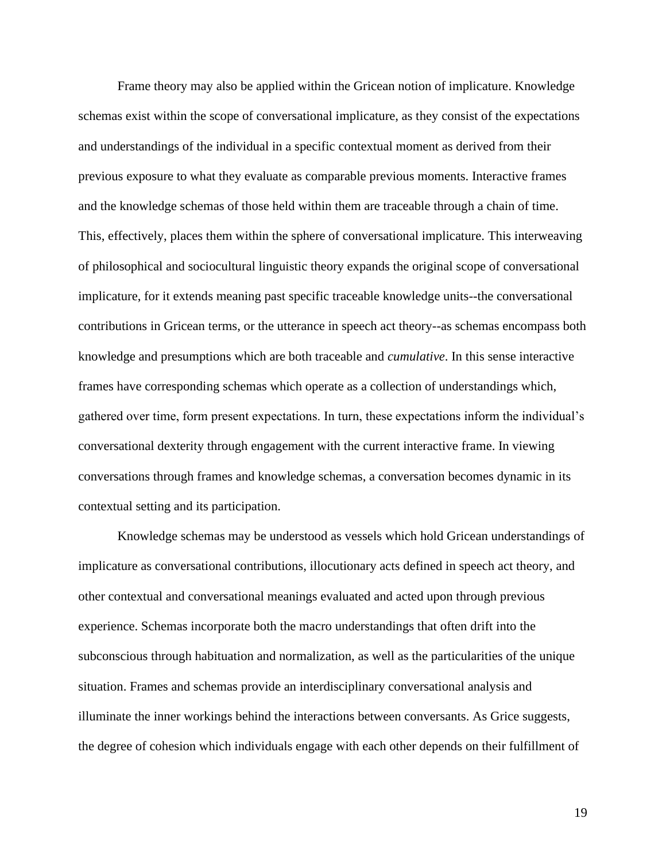Frame theory may also be applied within the Gricean notion of implicature. Knowledge schemas exist within the scope of conversational implicature, as they consist of the expectations and understandings of the individual in a specific contextual moment as derived from their previous exposure to what they evaluate as comparable previous moments. Interactive frames and the knowledge schemas of those held within them are traceable through a chain of time. This, effectively, places them within the sphere of conversational implicature. This interweaving of philosophical and sociocultural linguistic theory expands the original scope of conversational implicature, for it extends meaning past specific traceable knowledge units--the conversational contributions in Gricean terms, or the utterance in speech act theory--as schemas encompass both knowledge and presumptions which are both traceable and *cumulative*. In this sense interactive frames have corresponding schemas which operate as a collection of understandings which, gathered over time, form present expectations. In turn, these expectations inform the individual's conversational dexterity through engagement with the current interactive frame. In viewing conversations through frames and knowledge schemas, a conversation becomes dynamic in its contextual setting and its participation.

Knowledge schemas may be understood as vessels which hold Gricean understandings of implicature as conversational contributions, illocutionary acts defined in speech act theory, and other contextual and conversational meanings evaluated and acted upon through previous experience. Schemas incorporate both the macro understandings that often drift into the subconscious through habituation and normalization, as well as the particularities of the unique situation. Frames and schemas provide an interdisciplinary conversational analysis and illuminate the inner workings behind the interactions between conversants. As Grice suggests, the degree of cohesion which individuals engage with each other depends on their fulfillment of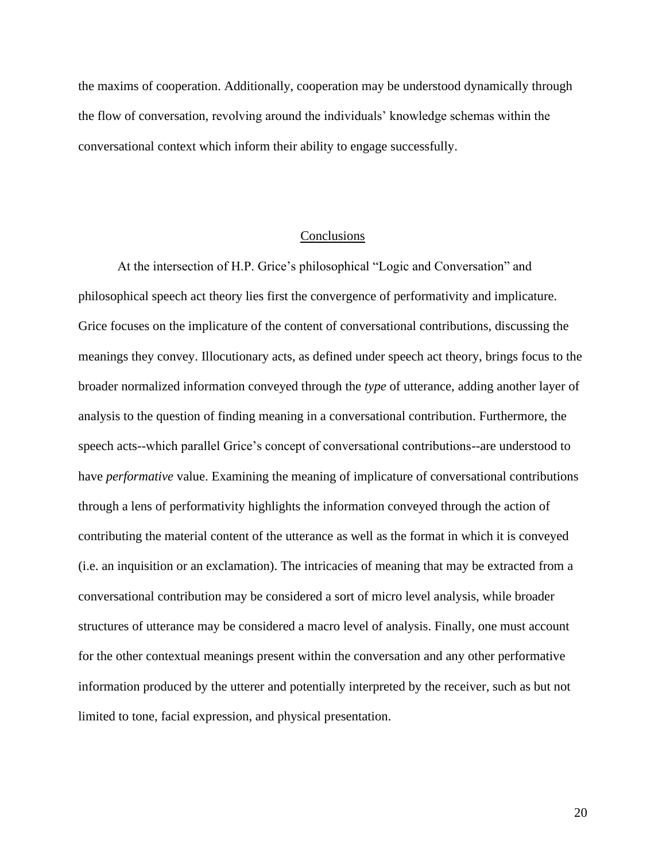the maxims of cooperation. Additionally, cooperation may be understood dynamically through the flow of conversation, revolving around the individuals' knowledge schemas within the conversational context which inform their ability to engage successfully.

## Conclusions

At the intersection of H.P. Grice's philosophical "Logic and Conversation" and philosophical speech act theory lies first the convergence of performativity and implicature. Grice focuses on the implicature of the content of conversational contributions, discussing the meanings they convey. Illocutionary acts, as defined under speech act theory, brings focus to the broader normalized information conveyed through the *type* of utterance, adding another layer of analysis to the question of finding meaning in a conversational contribution. Furthermore, the speech acts--which parallel Grice's concept of conversational contributions--are understood to have *performative* value. Examining the meaning of implicature of conversational contributions through a lens of performativity highlights the information conveyed through the action of contributing the material content of the utterance as well as the format in which it is conveyed (i.e. an inquisition or an exclamation). The intricacies of meaning that may be extracted from a conversational contribution may be considered a sort of micro level analysis, while broader structures of utterance may be considered a macro level of analysis. Finally, one must account for the other contextual meanings present within the conversation and any other performative information produced by the utterer and potentially interpreted by the receiver, such as but not limited to tone, facial expression, and physical presentation.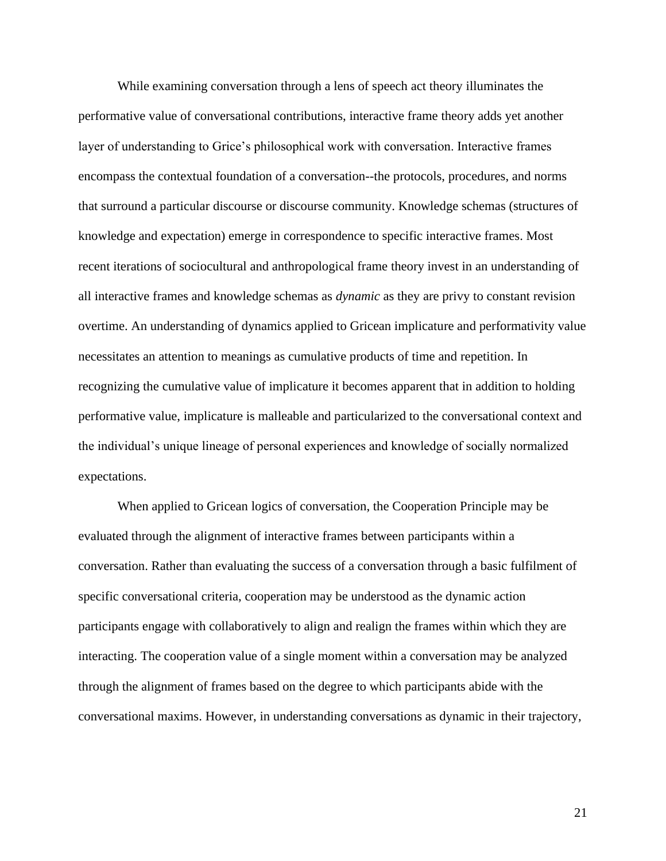While examining conversation through a lens of speech act theory illuminates the performative value of conversational contributions, interactive frame theory adds yet another layer of understanding to Grice's philosophical work with conversation. Interactive frames encompass the contextual foundation of a conversation--the protocols, procedures, and norms that surround a particular discourse or discourse community. Knowledge schemas (structures of knowledge and expectation) emerge in correspondence to specific interactive frames. Most recent iterations of sociocultural and anthropological frame theory invest in an understanding of all interactive frames and knowledge schemas as *dynamic* as they are privy to constant revision overtime. An understanding of dynamics applied to Gricean implicature and performativity value necessitates an attention to meanings as cumulative products of time and repetition. In recognizing the cumulative value of implicature it becomes apparent that in addition to holding performative value, implicature is malleable and particularized to the conversational context and the individual's unique lineage of personal experiences and knowledge of socially normalized expectations.

When applied to Gricean logics of conversation, the Cooperation Principle may be evaluated through the alignment of interactive frames between participants within a conversation. Rather than evaluating the success of a conversation through a basic fulfilment of specific conversational criteria, cooperation may be understood as the dynamic action participants engage with collaboratively to align and realign the frames within which they are interacting. The cooperation value of a single moment within a conversation may be analyzed through the alignment of frames based on the degree to which participants abide with the conversational maxims. However, in understanding conversations as dynamic in their trajectory,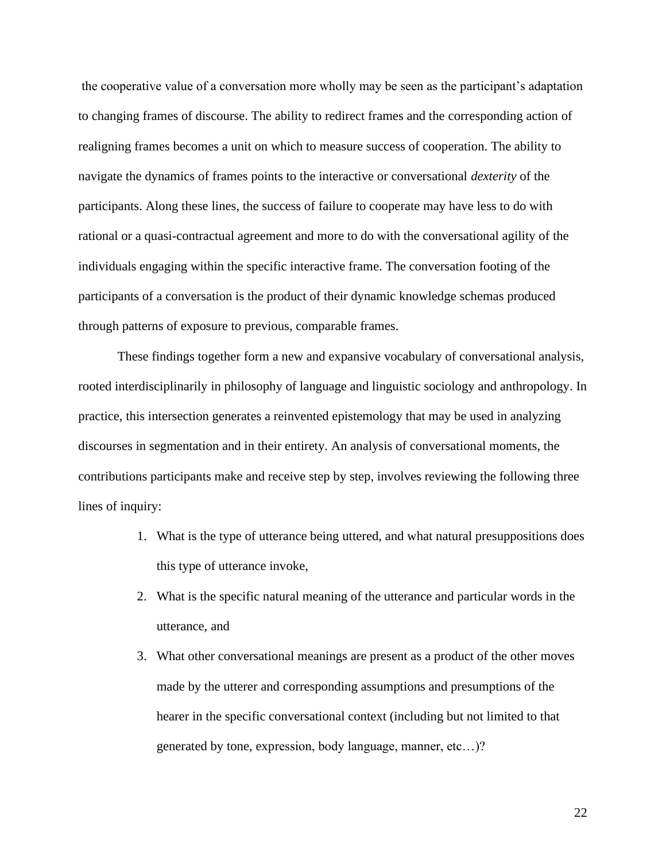the cooperative value of a conversation more wholly may be seen as the participant's adaptation to changing frames of discourse. The ability to redirect frames and the corresponding action of realigning frames becomes a unit on which to measure success of cooperation. The ability to navigate the dynamics of frames points to the interactive or conversational *dexterity* of the participants. Along these lines, the success of failure to cooperate may have less to do with rational or a quasi-contractual agreement and more to do with the conversational agility of the individuals engaging within the specific interactive frame. The conversation footing of the participants of a conversation is the product of their dynamic knowledge schemas produced through patterns of exposure to previous, comparable frames.

These findings together form a new and expansive vocabulary of conversational analysis, rooted interdisciplinarily in philosophy of language and linguistic sociology and anthropology. In practice, this intersection generates a reinvented epistemology that may be used in analyzing discourses in segmentation and in their entirety. An analysis of conversational moments, the contributions participants make and receive step by step, involves reviewing the following three lines of inquiry:

- 1. What is the type of utterance being uttered, and what natural presuppositions does this type of utterance invoke,
- 2. What is the specific natural meaning of the utterance and particular words in the utterance, and
- 3. What other conversational meanings are present as a product of the other moves made by the utterer and corresponding assumptions and presumptions of the hearer in the specific conversational context (including but not limited to that generated by tone, expression, body language, manner, etc…)?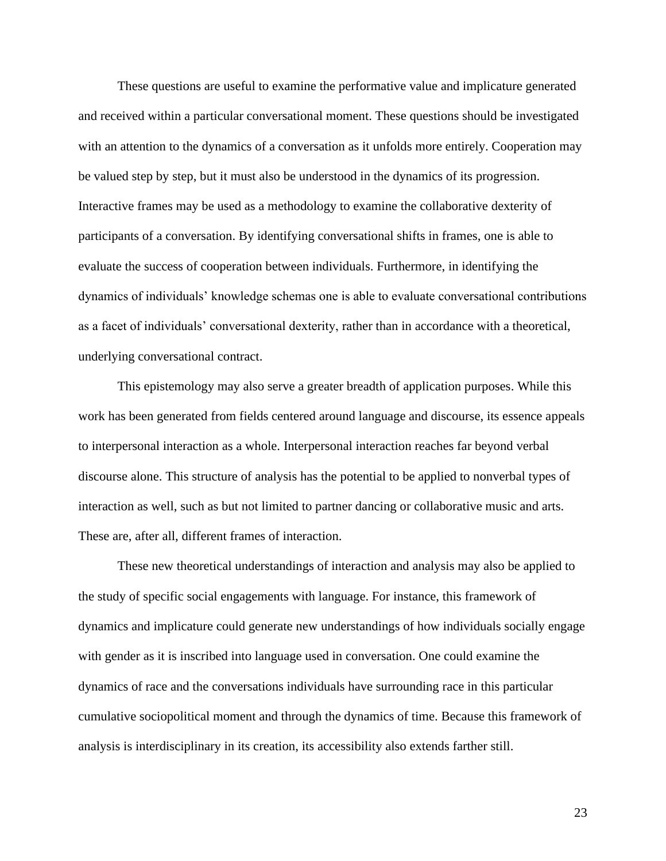These questions are useful to examine the performative value and implicature generated and received within a particular conversational moment. These questions should be investigated with an attention to the dynamics of a conversation as it unfolds more entirely. Cooperation may be valued step by step, but it must also be understood in the dynamics of its progression. Interactive frames may be used as a methodology to examine the collaborative dexterity of participants of a conversation. By identifying conversational shifts in frames, one is able to evaluate the success of cooperation between individuals. Furthermore, in identifying the dynamics of individuals' knowledge schemas one is able to evaluate conversational contributions as a facet of individuals' conversational dexterity, rather than in accordance with a theoretical, underlying conversational contract.

This epistemology may also serve a greater breadth of application purposes. While this work has been generated from fields centered around language and discourse, its essence appeals to interpersonal interaction as a whole. Interpersonal interaction reaches far beyond verbal discourse alone. This structure of analysis has the potential to be applied to nonverbal types of interaction as well, such as but not limited to partner dancing or collaborative music and arts. These are, after all, different frames of interaction.

These new theoretical understandings of interaction and analysis may also be applied to the study of specific social engagements with language. For instance, this framework of dynamics and implicature could generate new understandings of how individuals socially engage with gender as it is inscribed into language used in conversation. One could examine the dynamics of race and the conversations individuals have surrounding race in this particular cumulative sociopolitical moment and through the dynamics of time. Because this framework of analysis is interdisciplinary in its creation, its accessibility also extends farther still.